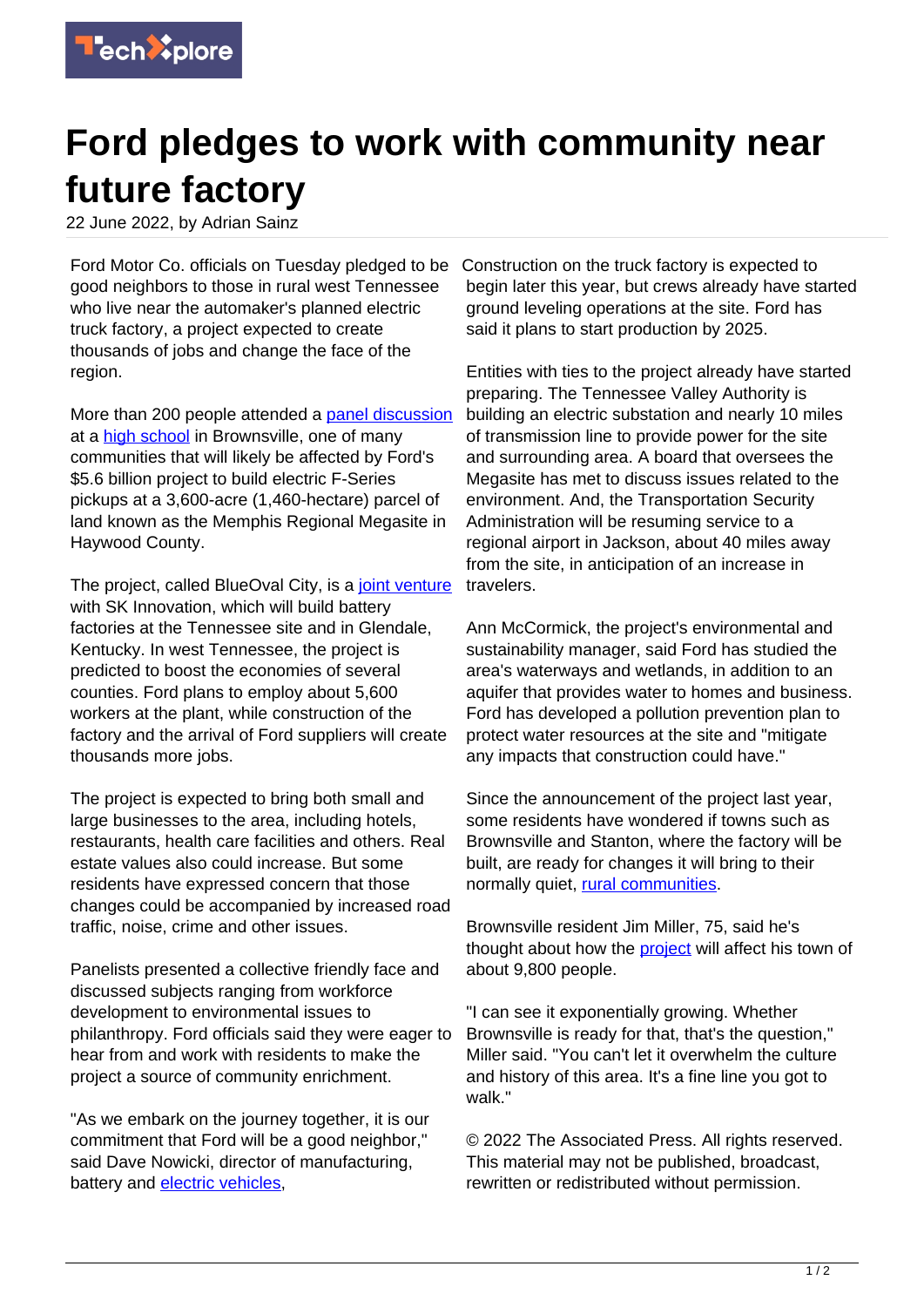

## **Ford pledges to work with community near future factory**

22 June 2022, by Adrian Sainz

Ford Motor Co. officials on Tuesday pledged to be good neighbors to those in rural west Tennessee who live near the automaker's planned electric truck factory, a project expected to create thousands of jobs and change the face of the region.

More than 200 people attended a [panel discussion](https://techxplore.com/tags/panel+discussion/) at a [high school](https://techxplore.com/tags/high+school/) in Brownsville, one of many communities that will likely be affected by Ford's \$5.6 billion project to build electric F-Series pickups at a 3,600-acre (1,460-hectare) parcel of land known as the Memphis Regional Megasite in Haywood County.

The project, called BlueOval City, is a [joint venture](https://techxplore.com/tags/joint+venture/) with SK Innovation, which will build battery factories at the Tennessee site and in Glendale, Kentucky. In west Tennessee, the project is predicted to boost the economies of several counties. Ford plans to employ about 5,600 workers at the plant, while construction of the factory and the arrival of Ford suppliers will create thousands more jobs.

The project is expected to bring both small and large businesses to the area, including hotels, restaurants, health care facilities and others. Real estate values also could increase. But some residents have expressed concern that those changes could be accompanied by increased road traffic, noise, crime and other issues.

Panelists presented a collective friendly face and discussed subjects ranging from workforce development to environmental issues to philanthropy. Ford officials said they were eager to hear from and work with residents to make the project a source of community enrichment.

"As we embark on the journey together, it is our commitment that Ford will be a good neighbor," said Dave Nowicki, director of manufacturing, battery and [electric vehicles](https://techxplore.com/tags/electric+vehicles/),

Construction on the truck factory is expected to begin later this year, but crews already have started ground leveling operations at the site. Ford has said it plans to start production by 2025.

Entities with ties to the project already have started preparing. The Tennessee Valley Authority is building an electric substation and nearly 10 miles of transmission line to provide power for the site and surrounding area. A board that oversees the Megasite has met to discuss issues related to the environment. And, the Transportation Security Administration will be resuming service to a regional airport in Jackson, about 40 miles away from the site, in anticipation of an increase in travelers.

Ann McCormick, the project's environmental and sustainability manager, said Ford has studied the area's waterways and wetlands, in addition to an aquifer that provides water to homes and business. Ford has developed a pollution prevention plan to protect water resources at the site and "mitigate any impacts that construction could have."

Since the announcement of the project last year, some residents have wondered if towns such as Brownsville and Stanton, where the factory will be built, are ready for changes it will bring to their normally quiet, [rural communities.](https://techxplore.com/tags/rural+communities/)

Brownsville resident Jim Miller, 75, said he's thought about how the [project](https://techxplore.com/tags/project/) will affect his town of about 9,800 people.

"I can see it exponentially growing. Whether Brownsville is ready for that, that's the question," Miller said. "You can't let it overwhelm the culture and history of this area. It's a fine line you got to walk."

© 2022 The Associated Press. All rights reserved. This material may not be published, broadcast, rewritten or redistributed without permission.